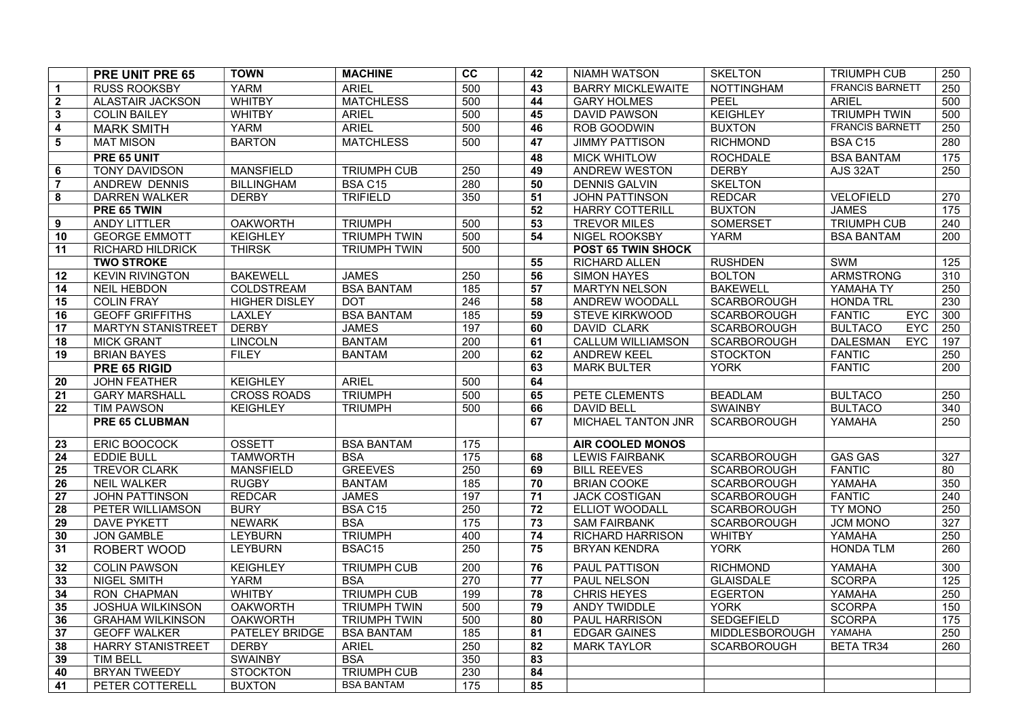|                | PRE UNIT PRE 65           | <b>TOWN</b>          | <b>MACHINE</b>      | cc  | 42 | <b>NIAMH WATSON</b>      | <b>SKELTON</b>     | <b>TRIUMPH CUB</b>            | 250             |
|----------------|---------------------------|----------------------|---------------------|-----|----|--------------------------|--------------------|-------------------------------|-----------------|
| $\mathbf{1}$   | <b>RUSS ROOKSBY</b>       | <b>YARM</b>          | <b>ARIEL</b>        | 500 | 43 | <b>BARRY MICKLEWAITE</b> | <b>NOTTINGHAM</b>  | <b>FRANCIS BARNETT</b>        | 250             |
| $\overline{2}$ | <b>ALASTAIR JACKSON</b>   | <b>WHITBY</b>        | <b>MATCHLESS</b>    | 500 | 44 | <b>GARY HOLMES</b>       | PEEL               | <b>ARIEL</b>                  | 500             |
| $\mathbf{3}$   | <b>COLIN BAILEY</b>       | <b>WHITBY</b>        | <b>ARIEL</b>        | 500 | 45 | <b>DAVID PAWSON</b>      | <b>KEIGHLEY</b>    | <b>TRIUMPH TWIN</b>           | 500             |
| 4              | <b>MARK SMITH</b>         | <b>YARM</b>          | <b>ARIEL</b>        | 500 | 46 | <b>ROB GOODWIN</b>       | <b>BUXTON</b>      | <b>FRANCIS BARNETT</b>        | 250             |
| 5              | <b>MAT MISON</b>          | <b>BARTON</b>        | <b>MATCHLESS</b>    | 500 | 47 | <b>JIMMY PATTISON</b>    | <b>RICHMOND</b>    | <b>BSA C15</b>                | 280             |
|                | PRE 65 UNIT               |                      |                     |     | 48 | <b>MICK WHITLOW</b>      | <b>ROCHDALE</b>    | <b>BSA BANTAM</b>             | 175             |
| 6              | TONY DAVIDSON             | <b>MANSFIELD</b>     | <b>TRIUMPH CUB</b>  | 250 | 49 | ANDREW WESTON            | <b>DERBY</b>       | AJS 32AT                      | 250             |
| $\overline{7}$ | <b>ANDREW DENNIS</b>      | <b>BILLINGHAM</b>    | BSA C15             | 280 | 50 | <b>DENNIS GALVIN</b>     | <b>SKELTON</b>     |                               |                 |
| 8              | <b>DARREN WALKER</b>      | <b>DERBY</b>         | <b>TRIFIELD</b>     | 350 | 51 | <b>JOHN PATTINSON</b>    | <b>REDCAR</b>      | VELOFIELD                     | 270             |
|                | PRE 65 TWIN               |                      |                     |     | 52 | <b>HARRY COTTERILL</b>   | <b>BUXTON</b>      | <b>JAMES</b>                  | 175             |
| 9              | <b>ANDY LITTLER</b>       | <b>OAKWORTH</b>      | <b>TRIUMPH</b>      | 500 | 53 | <b>TREVOR MILES</b>      | <b>SOMERSET</b>    | <b>TRIUMPH CUB</b>            | 240             |
| 10             | <b>GEORGE EMMOTT</b>      | <b>KEIGHLEY</b>      | <b>TRIUMPH TWIN</b> | 500 | 54 | NIGEL ROOKSBY            | <b>YARM</b>        | <b>BSA BANTAM</b>             | 200             |
| 11             | <b>RICHARD HILDRICK</b>   | <b>THIRSK</b>        | <b>TRIUMPH TWIN</b> | 500 |    | POST 65 TWIN SHOCK       |                    |                               |                 |
|                | <b>TWO STROKE</b>         |                      |                     |     | 55 | <b>RICHARD ALLEN</b>     | <b>RUSHDEN</b>     | SWM                           | 125             |
| 12             | <b>KEVIN RIVINGTON</b>    | <b>BAKEWELL</b>      | <b>JAMES</b>        | 250 | 56 | <b>SIMON HAYES</b>       | <b>BOLTON</b>      | ARMSTRONG                     | 310             |
| 14             | <b>NEIL HEBDON</b>        | COLDSTREAM           | <b>BSA BANTAM</b>   | 185 | 57 | <b>MARTYN NELSON</b>     | <b>BAKEWELL</b>    | YAMAHA TY                     | 250             |
| 15             | <b>COLIN FRAY</b>         | <b>HIGHER DISLEY</b> | <b>DOT</b>          | 246 | 58 | ANDREW WOODALL           | <b>SCARBOROUGH</b> | <b>HONDA TRL</b>              | 230             |
| 16             | <b>GEOFF GRIFFITHS</b>    | LAXLEY               | <b>BSA BANTAM</b>   | 185 | 59 | <b>STEVE KIRKWOOD</b>    | <b>SCARBOROUGH</b> | <b>FANTIC</b><br><b>EYC</b>   | 300             |
| 17             | <b>MARTYN STANISTREET</b> | <b>DERBY</b>         | <b>JAMES</b>        | 197 | 60 | DAVID CLARK              | <b>SCARBOROUGH</b> | <b>BULTACO</b><br><b>EYC</b>  | 250             |
| 18             | <b>MICK GRANT</b>         | <b>LINCOLN</b>       | <b>BANTAM</b>       | 200 | 61 | <b>CALLUM WILLIAMSON</b> | SCARBOROUGH        | <b>DALESMAN</b><br><b>EYC</b> | 197             |
| 19             | <b>BRIAN BAYES</b>        | <b>FILEY</b>         | <b>BANTAM</b>       | 200 | 62 | <b>ANDREW KEEL</b>       | <b>STOCKTON</b>    | <b>FANTIC</b>                 | 250             |
|                | PRE 65 RIGID              |                      |                     |     | 63 | <b>MARK BULTER</b>       | <b>YORK</b>        | <b>FANTIC</b>                 | 200             |
| 20             | <b>JOHN FEATHER</b>       | <b>KEIGHLEY</b>      | <b>ARIEL</b>        | 500 | 64 |                          |                    |                               |                 |
| 21             | <b>GARY MARSHALL</b>      | <b>CROSS ROADS</b>   | <b>TRIUMPH</b>      | 500 | 65 | PETE CLEMENTS            | <b>BEADLAM</b>     | <b>BULTACO</b>                | 250             |
| 22             | <b>TIM PAWSON</b>         | <b>KEIGHLEY</b>      | <b>TRIUMPH</b>      | 500 | 66 | <b>DAVID BELL</b>        | <b>SWAINBY</b>     | <b>BULTACO</b>                | 340             |
|                | <b>PRE 65 CLUBMAN</b>     |                      |                     |     | 67 | MICHAEL TANTON JNR       | <b>SCARBOROUGH</b> | YAMAHA                        | 250             |
| 23             | ERIC BOOCOCK              | <b>OSSETT</b>        | <b>BSA BANTAM</b>   | 175 |    | <b>AIR COOLED MONOS</b>  |                    |                               |                 |
| 24             | <b>EDDIE BULL</b>         | <b>TAMWORTH</b>      | <b>BSA</b>          | 175 | 68 | <b>LEWIS FAIRBANK</b>    | <b>SCARBOROUGH</b> | <b>GAS GAS</b>                | 327             |
| 25             | <b>TREVOR CLARK</b>       | <b>MANSFIELD</b>     | <b>GREEVES</b>      | 250 | 69 | <b>BILL REEVES</b>       | SCARBOROUGH        | <b>FANTIC</b>                 | 80              |
| 26             | <b>NEIL WALKER</b>        | <b>RUGBY</b>         | <b>BANTAM</b>       | 185 | 70 | <b>BRIAN COOKE</b>       | <b>SCARBOROUGH</b> | YAMAHA                        | 350             |
| 27             | <b>JOHN PATTINSON</b>     | <b>REDCAR</b>        | <b>JAMES</b>        | 197 | 71 | <b>JACK COSTIGAN</b>     | <b>SCARBOROUGH</b> | <b>FANTIC</b>                 | 240             |
| 28             | PETER WILLIAMSON          | <b>BURY</b>          | BSA C15             | 250 | 72 | ELLIOT WOODALL           | <b>SCARBOROUGH</b> | <b>TY MONO</b>                | 250             |
| 29             | <b>DAVE PYKETT</b>        | <b>NEWARK</b>        | <b>BSA</b>          | 175 | 73 | <b>SAM FAIRBANK</b>      | <b>SCARBOROUGH</b> | <b>JCM MONO</b>               | 327             |
| 30             | <b>JON GAMBLE</b>         | <b>LEYBURN</b>       | <b>TRIUMPH</b>      | 400 | 74 | <b>RICHARD HARRISON</b>  | <b>WHITBY</b>      | YAMAHA                        | 250             |
| 31             | ROBERT WOOD               | <b>LEYBURN</b>       | BSAC15              | 250 | 75 | <b>BRYAN KENDRA</b>      | <b>YORK</b>        | <b>HONDA TLM</b>              | 260             |
| 32             | <b>COLIN PAWSON</b>       | <b>KEIGHLEY</b>      | <b>TRIUMPH CUB</b>  | 200 | 76 | <b>PAUL PATTISON</b>     | <b>RICHMOND</b>    | YAMAHA                        | 300             |
| 33             | <b>NIGEL SMITH</b>        | <b>YARM</b>          | <b>BSA</b>          | 270 | 77 | PAUL NELSON              | <b>GLAISDALE</b>   | <b>SCORPA</b>                 | 125             |
| 34             | <b>RON CHAPMAN</b>        | <b>WHITBY</b>        | <b>TRIUMPH CUB</b>  | 199 | 78 | CHRIS HEYES              | <b>EGERTON</b>     | YAMAHA                        | $\frac{250}{ }$ |
| 35             | <b>JOSHUA WILKINSON</b>   | <b>OAKWORTH</b>      | <b>TRIUMPH TWIN</b> | 500 | 79 | ANDY TWIDDLE             | <b>YORK</b>        | <b>SCORPA</b>                 | 150             |
| 36             | <b>GRAHAM WILKINSON</b>   | <b>OAKWORTH</b>      | <b>TRIUMPH TWIN</b> | 500 | 80 | PAUL HARRISON            | SEDGEFIELD         | <b>SCORPA</b>                 | 175             |
| 37             | <b>GEOFF WALKER</b>       | PATELEY BRIDGE       | <b>BSA BANTAM</b>   | 185 | 81 | <b>EDGAR GAINES</b>      | MIDDLESBOROUGH     | YAMAHA                        | 250             |
| 38             | <b>HARRY STANISTREET</b>  | <b>DERBY</b>         | <b>ARIEL</b>        | 250 | 82 | <b>MARK TAYLOR</b>       | <b>SCARBOROUGH</b> | <b>BETA TR34</b>              | 260             |
| 39             | <b>TIM BELL</b>           | <b>SWAINBY</b>       | <b>BSA</b>          | 350 | 83 |                          |                    |                               |                 |
| 40             | <b>BRYAN TWEEDY</b>       | <b>STOCKTON</b>      | <b>TRIUMPH CUB</b>  | 230 | 84 |                          |                    |                               |                 |
| 41             | PETER COTTERELL           | <b>BUXTON</b>        | <b>BSA BANTAM</b>   | 175 | 85 |                          |                    |                               |                 |